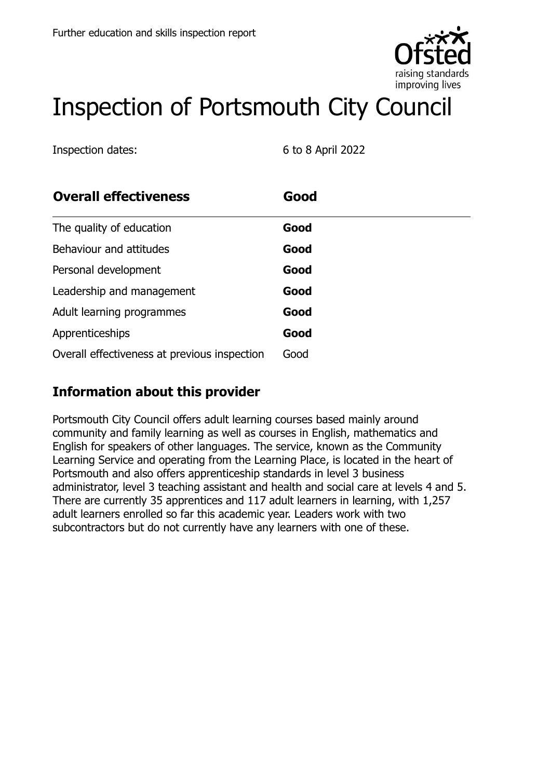

# Inspection of Portsmouth City Council

Inspection dates: 6 to 8 April 2022

| <b>Overall effectiveness</b>                 | Good |  |
|----------------------------------------------|------|--|
| The quality of education                     | Good |  |
| Behaviour and attitudes                      | Good |  |
| Personal development                         | Good |  |
| Leadership and management                    | Good |  |
| Adult learning programmes                    | Good |  |
| Apprenticeships                              | Good |  |
| Overall effectiveness at previous inspection | Good |  |

# **Information about this provider**

Portsmouth City Council offers adult learning courses based mainly around community and family learning as well as courses in English, mathematics and English for speakers of other languages. The service, known as the Community Learning Service and operating from the Learning Place, is located in the heart of Portsmouth and also offers apprenticeship standards in level 3 business administrator, level 3 teaching assistant and health and social care at levels 4 and 5. There are currently 35 apprentices and 117 adult learners in learning, with 1,257 adult learners enrolled so far this academic year. Leaders work with two subcontractors but do not currently have any learners with one of these.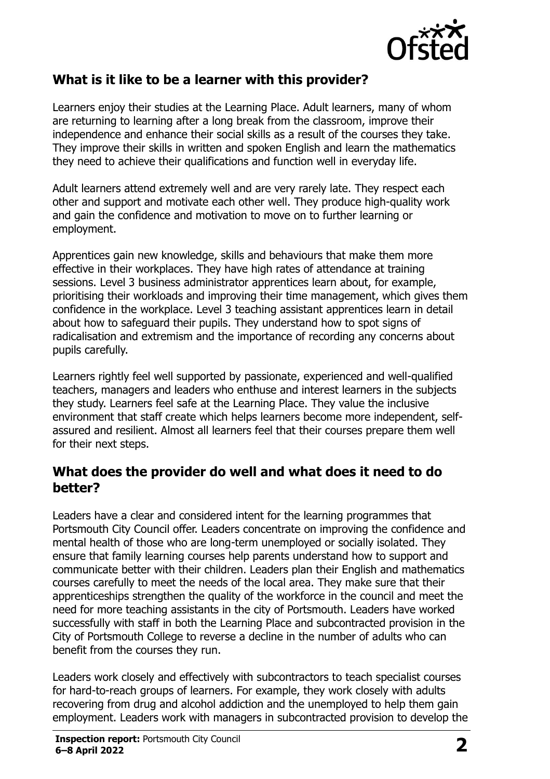

#### **What is it like to be a learner with this provider?**

Learners enjoy their studies at the Learning Place. Adult learners, many of whom are returning to learning after a long break from the classroom, improve their independence and enhance their social skills as a result of the courses they take. They improve their skills in written and spoken English and learn the mathematics they need to achieve their qualifications and function well in everyday life.

Adult learners attend extremely well and are very rarely late. They respect each other and support and motivate each other well. They produce high-quality work and gain the confidence and motivation to move on to further learning or employment.

Apprentices gain new knowledge, skills and behaviours that make them more effective in their workplaces. They have high rates of attendance at training sessions. Level 3 business administrator apprentices learn about, for example, prioritising their workloads and improving their time management, which gives them confidence in the workplace. Level 3 teaching assistant apprentices learn in detail about how to safeguard their pupils. They understand how to spot signs of radicalisation and extremism and the importance of recording any concerns about pupils carefully.

Learners rightly feel well supported by passionate, experienced and well-qualified teachers, managers and leaders who enthuse and interest learners in the subjects they study. Learners feel safe at the Learning Place. They value the inclusive environment that staff create which helps learners become more independent, selfassured and resilient. Almost all learners feel that their courses prepare them well for their next steps.

#### **What does the provider do well and what does it need to do better?**

Leaders have a clear and considered intent for the learning programmes that Portsmouth City Council offer. Leaders concentrate on improving the confidence and mental health of those who are long-term unemployed or socially isolated. They ensure that family learning courses help parents understand how to support and communicate better with their children. Leaders plan their English and mathematics courses carefully to meet the needs of the local area. They make sure that their apprenticeships strengthen the quality of the workforce in the council and meet the need for more teaching assistants in the city of Portsmouth. Leaders have worked successfully with staff in both the Learning Place and subcontracted provision in the City of Portsmouth College to reverse a decline in the number of adults who can benefit from the courses they run.

Leaders work closely and effectively with subcontractors to teach specialist courses for hard-to-reach groups of learners. For example, they work closely with adults recovering from drug and alcohol addiction and the unemployed to help them gain employment. Leaders work with managers in subcontracted provision to develop the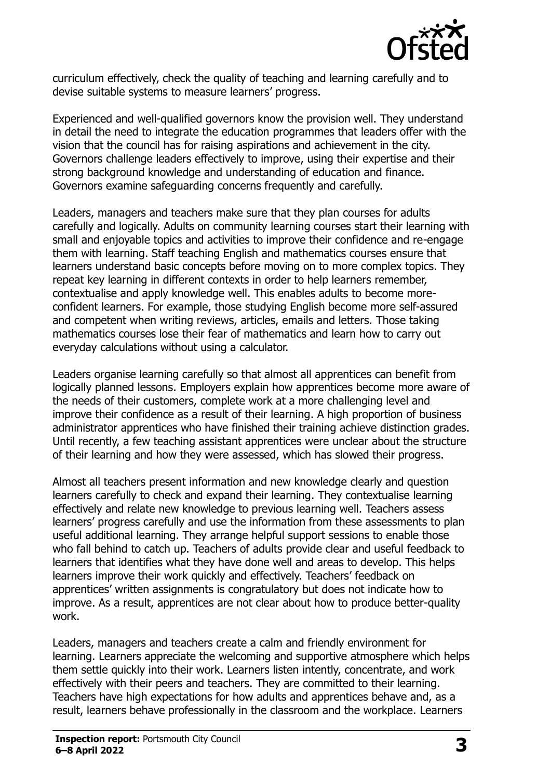

curriculum effectively, check the quality of teaching and learning carefully and to devise suitable systems to measure learners' progress.

Experienced and well-qualified governors know the provision well. They understand in detail the need to integrate the education programmes that leaders offer with the vision that the council has for raising aspirations and achievement in the city. Governors challenge leaders effectively to improve, using their expertise and their strong background knowledge and understanding of education and finance. Governors examine safeguarding concerns frequently and carefully.

Leaders, managers and teachers make sure that they plan courses for adults carefully and logically. Adults on community learning courses start their learning with small and enjoyable topics and activities to improve their confidence and re-engage them with learning. Staff teaching English and mathematics courses ensure that learners understand basic concepts before moving on to more complex topics. They repeat key learning in different contexts in order to help learners remember, contextualise and apply knowledge well. This enables adults to become moreconfident learners. For example, those studying English become more self-assured and competent when writing reviews, articles, emails and letters. Those taking mathematics courses lose their fear of mathematics and learn how to carry out everyday calculations without using a calculator.

Leaders organise learning carefully so that almost all apprentices can benefit from logically planned lessons. Employers explain how apprentices become more aware of the needs of their customers, complete work at a more challenging level and improve their confidence as a result of their learning. A high proportion of business administrator apprentices who have finished their training achieve distinction grades. Until recently, a few teaching assistant apprentices were unclear about the structure of their learning and how they were assessed, which has slowed their progress.

Almost all teachers present information and new knowledge clearly and question learners carefully to check and expand their learning. They contextualise learning effectively and relate new knowledge to previous learning well. Teachers assess learners' progress carefully and use the information from these assessments to plan useful additional learning. They arrange helpful support sessions to enable those who fall behind to catch up. Teachers of adults provide clear and useful feedback to learners that identifies what they have done well and areas to develop. This helps learners improve their work quickly and effectively. Teachers' feedback on apprentices' written assignments is congratulatory but does not indicate how to improve. As a result, apprentices are not clear about how to produce better-quality work.

Leaders, managers and teachers create a calm and friendly environment for learning. Learners appreciate the welcoming and supportive atmosphere which helps them settle quickly into their work. Learners listen intently, concentrate, and work effectively with their peers and teachers. They are committed to their learning. Teachers have high expectations for how adults and apprentices behave and, as a result, learners behave professionally in the classroom and the workplace. Learners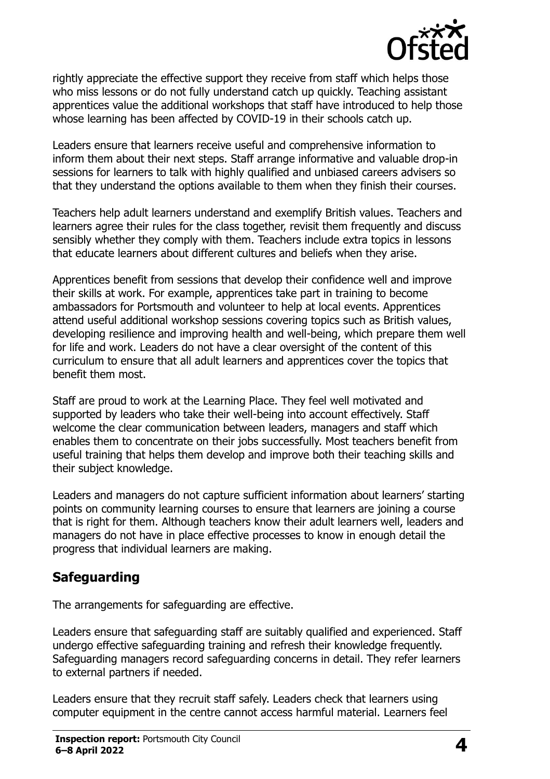

rightly appreciate the effective support they receive from staff which helps those who miss lessons or do not fully understand catch up quickly. Teaching assistant apprentices value the additional workshops that staff have introduced to help those whose learning has been affected by COVID-19 in their schools catch up.

Leaders ensure that learners receive useful and comprehensive information to inform them about their next steps. Staff arrange informative and valuable drop-in sessions for learners to talk with highly qualified and unbiased careers advisers so that they understand the options available to them when they finish their courses.

Teachers help adult learners understand and exemplify British values. Teachers and learners agree their rules for the class together, revisit them frequently and discuss sensibly whether they comply with them. Teachers include extra topics in lessons that educate learners about different cultures and beliefs when they arise.

Apprentices benefit from sessions that develop their confidence well and improve their skills at work. For example, apprentices take part in training to become ambassadors for Portsmouth and volunteer to help at local events. Apprentices attend useful additional workshop sessions covering topics such as British values, developing resilience and improving health and well-being, which prepare them well for life and work. Leaders do not have a clear oversight of the content of this curriculum to ensure that all adult learners and apprentices cover the topics that benefit them most.

Staff are proud to work at the Learning Place. They feel well motivated and supported by leaders who take their well-being into account effectively. Staff welcome the clear communication between leaders, managers and staff which enables them to concentrate on their jobs successfully. Most teachers benefit from useful training that helps them develop and improve both their teaching skills and their subject knowledge.

Leaders and managers do not capture sufficient information about learners' starting points on community learning courses to ensure that learners are joining a course that is right for them. Although teachers know their adult learners well, leaders and managers do not have in place effective processes to know in enough detail the progress that individual learners are making.

# **Safeguarding**

The arrangements for safeguarding are effective.

Leaders ensure that safeguarding staff are suitably qualified and experienced. Staff undergo effective safeguarding training and refresh their knowledge frequently. Safeguarding managers record safeguarding concerns in detail. They refer learners to external partners if needed.

Leaders ensure that they recruit staff safely. Leaders check that learners using computer equipment in the centre cannot access harmful material. Learners feel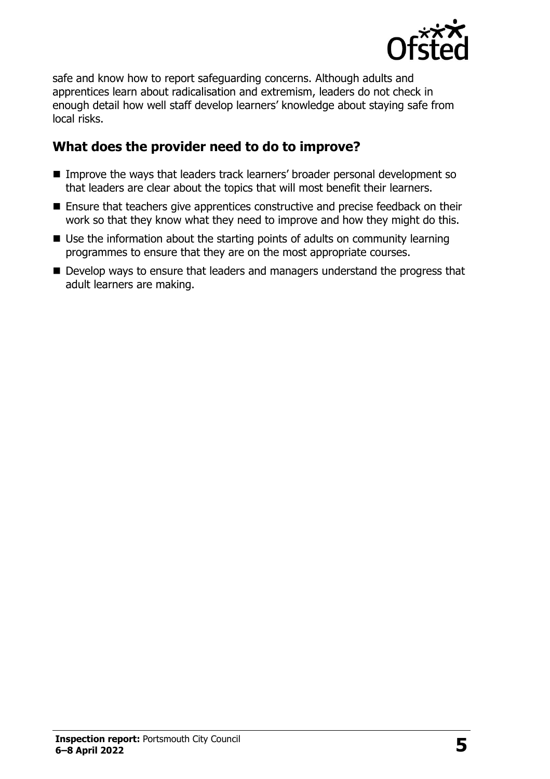

safe and know how to report safeguarding concerns. Although adults and apprentices learn about radicalisation and extremism, leaders do not check in enough detail how well staff develop learners' knowledge about staying safe from local risks.

#### **What does the provider need to do to improve?**

- Improve the ways that leaders track learners' broader personal development so that leaders are clear about the topics that will most benefit their learners.
- Ensure that teachers give apprentices constructive and precise feedback on their work so that they know what they need to improve and how they might do this.
- Use the information about the starting points of adults on community learning programmes to ensure that they are on the most appropriate courses.
- Develop ways to ensure that leaders and managers understand the progress that adult learners are making.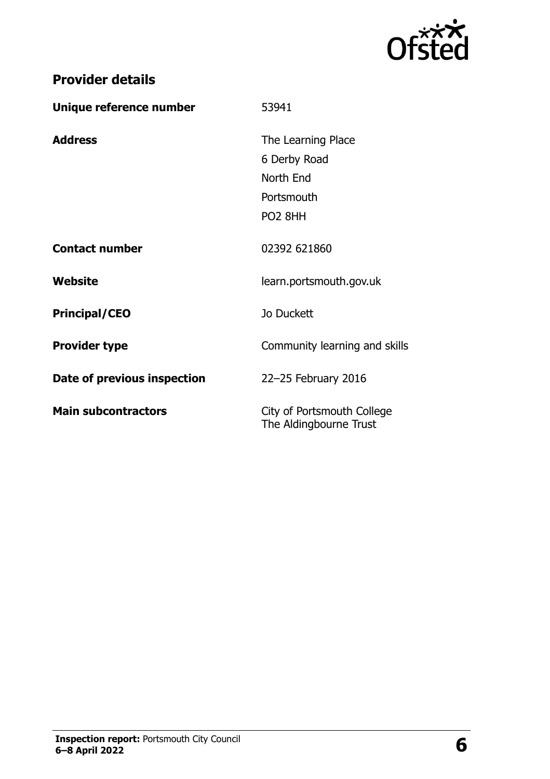

| <b>Provider details</b> |  |
|-------------------------|--|
|-------------------------|--|

| Unique reference number     | 53941                                                |
|-----------------------------|------------------------------------------------------|
| <b>Address</b>              | The Learning Place                                   |
|                             | 6 Derby Road                                         |
|                             | North End                                            |
|                             | Portsmouth                                           |
|                             | PO <sub>2</sub> 8HH                                  |
| <b>Contact number</b>       | 02392 621860                                         |
| Website                     | learn.portsmouth.gov.uk                              |
| <b>Principal/CEO</b>        | Jo Duckett                                           |
| <b>Provider type</b>        | Community learning and skills                        |
| Date of previous inspection | 22-25 February 2016                                  |
| <b>Main subcontractors</b>  | City of Portsmouth College<br>The Aldingbourne Trust |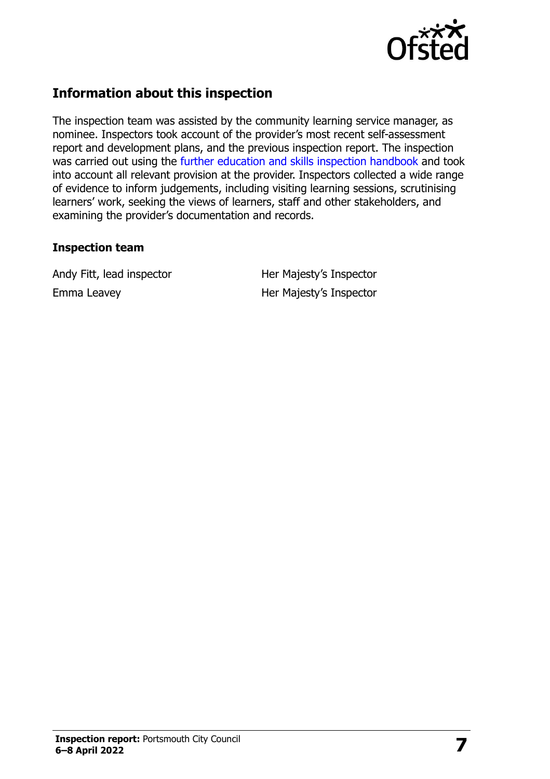

# **Information about this inspection**

The inspection team was assisted by the community learning service manager, as nominee. Inspectors took account of the provider's most recent self-assessment report and development plans, and the previous inspection report. The inspection was carried out using the [further education and skills inspection handbook](http://www.gov.uk/government/publications/further-education-and-skills-inspection-handbook-eif) and took into account all relevant provision at the provider. Inspectors collected a wide range of evidence to inform judgements, including visiting learning sessions, scrutinising learners' work, seeking the views of learners, staff and other stakeholders, and examining the provider's documentation and records.

#### **Inspection team**

Andy Fitt, lead inspector **Her Majesty's Inspector** Emma Leavey **Her Majesty's Inspector**